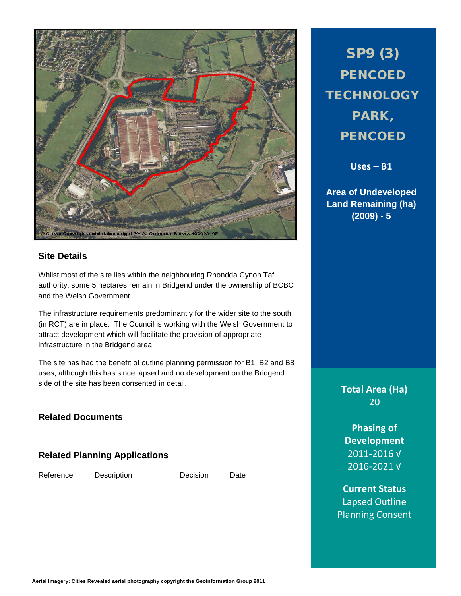

# **Site Details**

Whilst most of the site lies within the neighbouring Rhondda Cynon Taf authority, some 5 hectares remain in Bridgend under the ownership of BCBC and the Welsh Government.

The infrastructure requirements predominantly for the wider site to the south (in RCT) are in place. The Council is working with the Welsh Government to attract development which will facilitate the provision of appropriate infrastructure in the Bridgend area.

The site has had the benefit of outline planning permission for B1, B2 and B8 uses, although this has since lapsed and no development on the Bridgend side of the site has been consented in detail.

**Related Documents**

**Related Planning Applications**

Reference Description Decision Date

SP9 (3) **PENCOED TECHNOLOGY** PARK, **PENCOED** 

**Uses – B1**

**Area of Undeveloped Land Remaining (ha) (2009) - 5**

> **Total Area (Ha)** 20

**Phasing of Development** 2011-2016 √ 2016-2021 √

**Current Status** Lapsed Outline Planning Consent